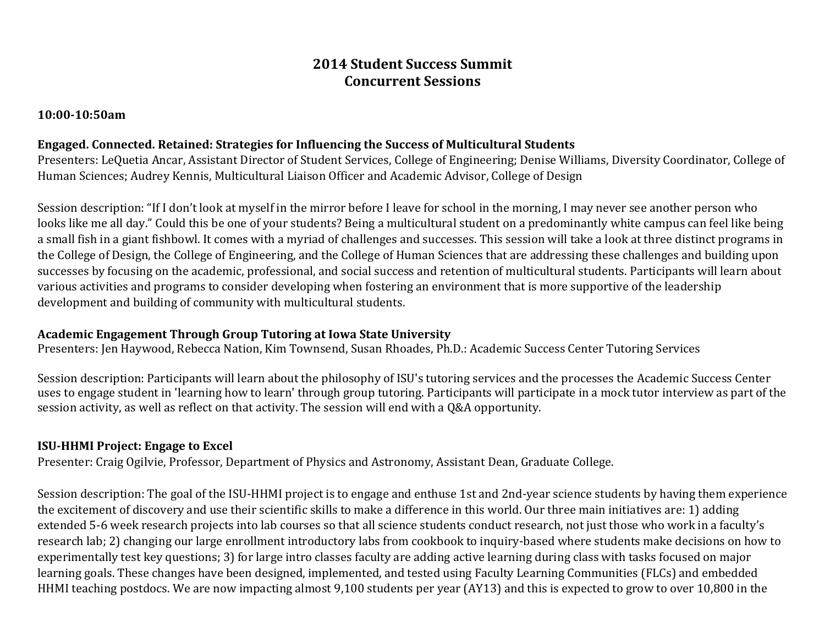# **2014 Student Success Summit Concurrent Sessions**

#### **10:00-10:50am**

#### **Engaged. Connected. Retained: Strategies for Influencing the Success of Multicultural Students**

Presenters: LeQuetia Ancar, Assistant Director of Student Services, College of Engineering; Denise Williams, Diversity Coordinator, College of Human Sciences; Audrey Kennis, Multicultural Liaison Officer and Academic Advisor, College of Design

Session description: "If I don't look at myself in the mirror before I leave for school in the morning, I may never see another person who looks like me all day." Could this be one of your students? Being a multicultural student on a predominantly white campus can feel like being a small fish in a giant fishbowl. It comes with a myriad of challenges and successes. This session will take a look at three distinct programs in the College of Design, the College of Engineering, and the College of Human Sciences that are addressing these challenges and building upon successes by focusing on the academic, professional, and social success and retention of multicultural students. Participants will learn about various activities and programs to consider developing when fostering an environment that is more supportive of the leadership development and building of community with multicultural students.

### **Academic Engagement Through Group Tutoring at Iowa State University**

Presenters: Jen Haywood, Rebecca Nation, Kim Townsend, Susan Rhoades, Ph.D.: Academic Success Center Tutoring Services

Session description: Participants will learn about the philosophy of ISU's tutoring services and the processes the Academic Success Center uses to engage student in 'learning how to learn' through group tutoring. Participants will participate in a mock tutor interview as part of the session activity, as well as reflect on that activity. The session will end with a Q&A opportunity.

### **ISU-HHMI Project: Engage to Excel**

Presenter: Craig Ogilvie, Professor, Department of Physics and Astronomy, Assistant Dean, Graduate College.

Session description: The goal of the ISU-HHMI project is to engage and enthuse 1st and 2nd-year science students by having them experience the excitement of discovery and use their scientific skills to make a difference in this world. Our three main initiatives are: 1) adding extended 5-6 week research projects into lab courses so that all science students conduct research, not just those who work in a faculty's research lab; 2) changing our large enrollment introductory labs from cookbook to inquiry-based where students make decisions on how to experimentally test key questions; 3) for large intro classes faculty are adding active learning during class with tasks focused on major learning goals. These changes have been designed, implemented, and tested using Faculty Learning Communities (FLCs) and embedded HHMI teaching postdocs. We are now impacting almost 9,100 students per year (AY13) and this is expected to grow to over 10,800 in the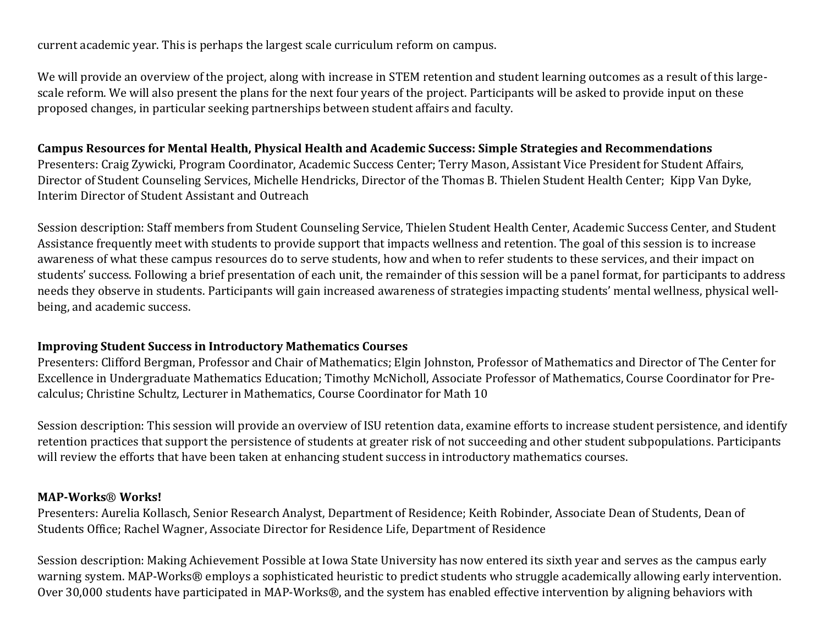current academic year. This is perhaps the largest scale curriculum reform on campus.

We will provide an overview of the project, along with increase in STEM retention and student learning outcomes as a result of this largescale reform. We will also present the plans for the next four years of the project. Participants will be asked to provide input on these proposed changes, in particular seeking partnerships between student affairs and faculty.

### **Campus Resources for Mental Health, Physical Health and Academic Success: Simple Strategies and Recommendations**

Presenters: Craig Zywicki, Program Coordinator, Academic Success Center; Terry Mason, Assistant Vice President for Student Affairs, Director of Student Counseling Services, Michelle Hendricks, Director of the Thomas B. Thielen Student Health Center; Kipp Van Dyke, Interim Director of Student Assistant and Outreach

Session description: Staff members from Student Counseling Service, Thielen Student Health Center, Academic Success Center, and Student Assistance frequently meet with students to provide support that impacts wellness and retention. The goal of this session is to increase awareness of what these campus resources do to serve students, how and when to refer students to these services, and their impact on students' success. Following a brief presentation of each unit, the remainder of this session will be a panel format, for participants to address needs they observe in students. Participants will gain increased awareness of strategies impacting students' mental wellness, physical wellbeing, and academic success.

#### **Improving Student Success in Introductory Mathematics Courses**

Presenters: Clifford Bergman, Professor and Chair of Mathematics; Elgin Johnston, Professor of Mathematics and Director of The Center for Excellence in Undergraduate Mathematics Education; Timothy McNicholl, Associate Professor of Mathematics, Course Coordinator for Precalculus; Christine Schultz, Lecturer in Mathematics, Course Coordinator for Math 10

Session description: This session will provide an overview of ISU retention data, examine efforts to increase student persistence, and identify retention practices that support the persistence of students at greater risk of not succeeding and other student subpopulations. Participants will review the efforts that have been taken at enhancing student success in introductory mathematics courses.

### **MAP-Works**® **Works!**

Presenters: Aurelia Kollasch, Senior Research Analyst, Department of Residence; Keith Robinder, Associate Dean of Students, Dean of Students Office; Rachel Wagner, Associate Director for Residence Life, Department of Residence

Session description: Making Achievement Possible at Iowa State University has now entered its sixth year and serves as the campus early warning system. MAP-Works® employs a sophisticated heuristic to predict students who struggle academically allowing early intervention. Over 30,000 students have participated in MAP-Works®, and the system has enabled effective intervention by aligning behaviors with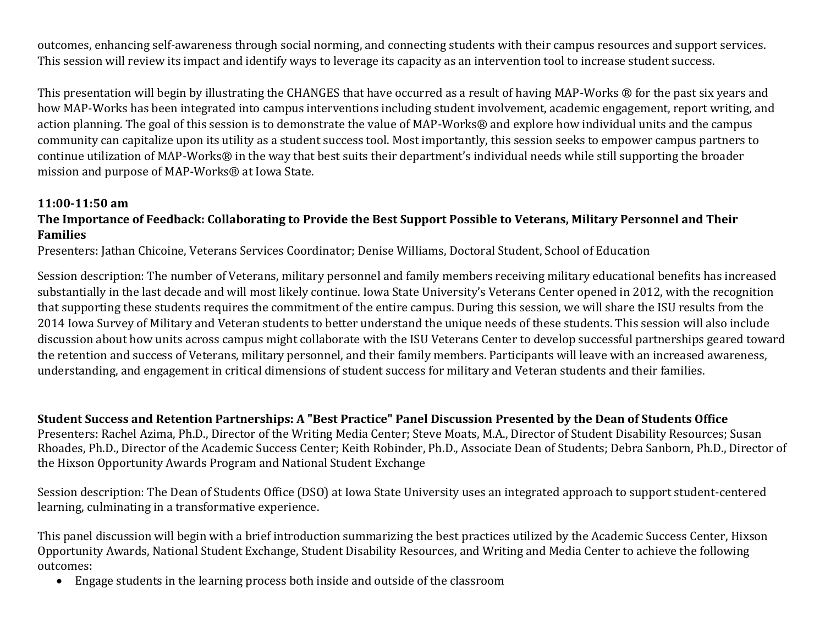outcomes, enhancing self-awareness through social norming, and connecting students with their campus resources and support services. This session will review its impact and identify ways to leverage its capacity as an intervention tool to increase student success.

This presentation will begin by illustrating the CHANGES that have occurred as a result of having MAP-Works ® for the past six years and how MAP-Works has been integrated into campus interventions including student involvement, academic engagement, report writing, and action planning. The goal of this session is to demonstrate the value of MAP-Works® and explore how individual units and the campus community can capitalize upon its utility as a student success tool. Most importantly, this session seeks to empower campus partners to continue utilization of MAP-Works® in the way that best suits their department's individual needs while still supporting the broader mission and purpose of MAP-Works® at Iowa State.

#### **11:00-11:50 am**

## **The Importance of Feedback: Collaborating to Provide the Best Support Possible to Veterans, Military Personnel and Their Families**

Presenters: Jathan Chicoine, Veterans Services Coordinator; Denise Williams, Doctoral Student, School of Education

Session description: The number of Veterans, military personnel and family members receiving military educational benefits has increased substantially in the last decade and will most likely continue. Iowa State University's Veterans Center opened in 2012, with the recognition that supporting these students requires the commitment of the entire campus. During this session, we will share the ISU results from the 2014 Iowa Survey of Military and Veteran students to better understand the unique needs of these students. This session will also include discussion about how units across campus might collaborate with the ISU Veterans Center to develop successful partnerships geared toward the retention and success of Veterans, military personnel, and their family members. Participants will leave with an increased awareness, understanding, and engagement in critical dimensions of student success for military and Veteran students and their families.

**Student Success and Retention Partnerships: A "Best Practice" Panel Discussion Presented by the Dean of Students Office**

Presenters: Rachel Azima, Ph.D., Director of the Writing Media Center; Steve Moats, M.A., Director of Student Disability Resources; Susan Rhoades, Ph.D., Director of the Academic Success Center; Keith Robinder, Ph.D., Associate Dean of Students; Debra Sanborn, Ph.D., Director of the Hixson Opportunity Awards Program and National Student Exchange

Session description: The Dean of Students Office (DSO) at Iowa State University uses an integrated approach to support student-centered learning, culminating in a transformative experience.

This panel discussion will begin with a brief introduction summarizing the best practices utilized by the Academic Success Center, Hixson Opportunity Awards, National Student Exchange, Student Disability Resources, and Writing and Media Center to achieve the following outcomes:

Engage students in the learning process both inside and outside of the classroom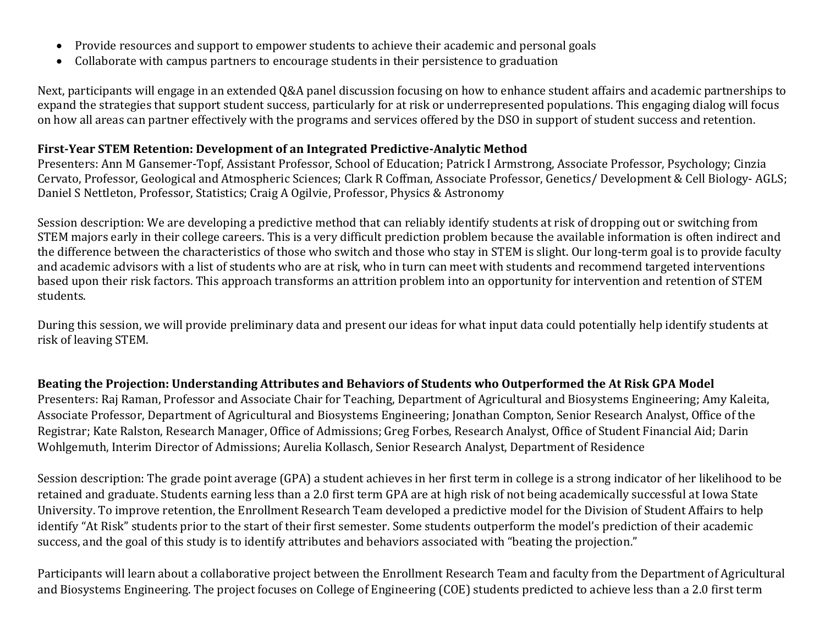- Provide resources and support to empower students to achieve their academic and personal goals
- Collaborate with campus partners to encourage students in their persistence to graduation

Next, participants will engage in an extended Q&A panel discussion focusing on how to enhance student affairs and academic partnerships to expand the strategies that support student success, particularly for at risk or underrepresented populations. This engaging dialog will focus on how all areas can partner effectively with the programs and services offered by the DSO in support of student success and retention.

### **First-Year STEM Retention: Development of an Integrated Predictive-Analytic Method**

Presenters: Ann M Gansemer-Topf, Assistant Professor, School of Education; Patrick I Armstrong, Associate Professor, Psychology; Cinzia Cervato, Professor, Geological and Atmospheric Sciences; Clark R Coffman, Associate Professor, Genetics/ Development & Cell Biology- AGLS; Daniel S Nettleton, Professor, Statistics; Craig A Ogilvie, Professor, Physics & Astronomy

Session description: We are developing a predictive method that can reliably identify students at risk of dropping out or switching from STEM majors early in their college careers. This is a very difficult prediction problem because the available information is often indirect and the difference between the characteristics of those who switch and those who stay in STEM is slight. Our long-term goal is to provide faculty and academic advisors with a list of students who are at risk, who in turn can meet with students and recommend targeted interventions based upon their risk factors. This approach transforms an attrition problem into an opportunity for intervention and retention of STEM students.

During this session, we will provide preliminary data and present our ideas for what input data could potentially help identify students at risk of leaving STEM.

**Beating the Projection: Understanding Attributes and Behaviors of Students who Outperformed the At Risk GPA Model** Presenters: Raj Raman, Professor and Associate Chair for Teaching, Department of Agricultural and Biosystems Engineering; Amy Kaleita, Associate Professor, Department of Agricultural and Biosystems Engineering; Jonathan Compton, Senior Research Analyst, Office of the Registrar; Kate Ralston, Research Manager, Office of Admissions; Greg Forbes, Research Analyst, Office of Student Financial Aid; Darin Wohlgemuth, Interim Director of Admissions; Aurelia Kollasch, Senior Research Analyst, Department of Residence

Session description: The grade point average (GPA) a student achieves in her first term in college is a strong indicator of her likelihood to be retained and graduate. Students earning less than a 2.0 first term GPA are at high risk of not being academically successful at Iowa State University. To improve retention, the Enrollment Research Team developed a predictive model for the Division of Student Affairs to help identify "At Risk" students prior to the start of their first semester. Some students outperform the model's prediction of their academic success, and the goal of this study is to identify attributes and behaviors associated with "beating the projection."

Participants will learn about a collaborative project between the Enrollment Research Team and faculty from the Department of Agricultural and Biosystems Engineering. The project focuses on College of Engineering (COE) students predicted to achieve less than a 2.0 first term